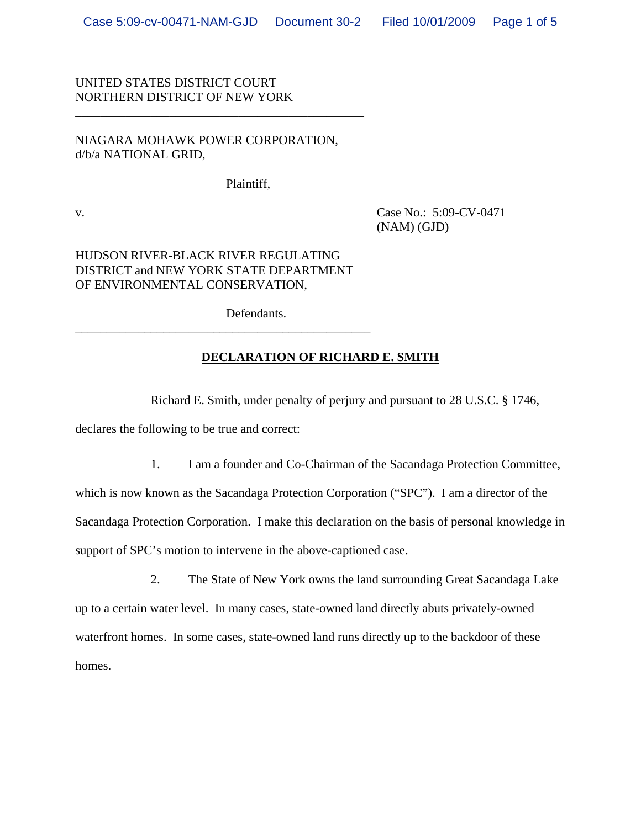## UNITED STATES DISTRICT COURT NORTHERN DISTRICT OF NEW YORK

## NIAGARA MOHAWK POWER CORPORATION, d/b/a NATIONAL GRID,

\_\_\_\_\_\_\_\_\_\_\_\_\_\_\_\_\_\_\_\_\_\_\_\_\_\_\_\_\_\_\_\_\_\_\_\_\_\_\_\_\_\_\_\_\_\_

Plaintiff,

v. Case No.: 5:09-CV-0471 (NAM) (GJD)

## HUDSON RIVER-BLACK RIVER REGULATING DISTRICT and NEW YORK STATE DEPARTMENT OF ENVIRONMENTAL CONSERVATION,

\_\_\_\_\_\_\_\_\_\_\_\_\_\_\_\_\_\_\_\_\_\_\_\_\_\_\_\_\_\_\_\_\_\_\_\_\_\_\_\_\_\_\_\_\_\_\_

Defendants.

## **DECLARATION OF RICHARD E. SMITH**

Richard E. Smith, under penalty of perjury and pursuant to 28 U.S.C. § 1746,

declares the following to be true and correct:

1. I am a founder and Co-Chairman of the Sacandaga Protection Committee,

which is now known as the Sacandaga Protection Corporation ("SPC"). I am a director of the Sacandaga Protection Corporation. I make this declaration on the basis of personal knowledge in support of SPC's motion to intervene in the above-captioned case.

2. The State of New York owns the land surrounding Great Sacandaga Lake up to a certain water level. In many cases, state-owned land directly abuts privately-owned waterfront homes. In some cases, state-owned land runs directly up to the backdoor of these homes.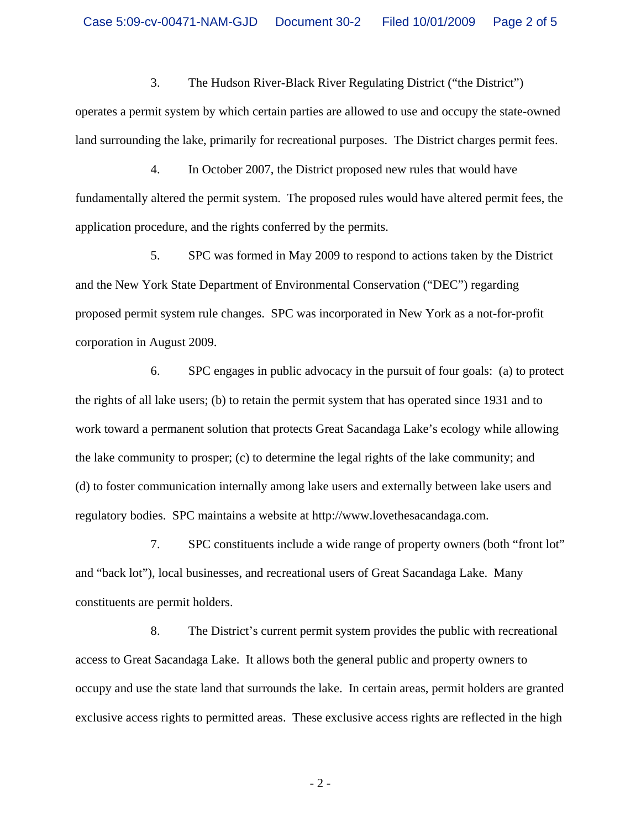3. The Hudson River-Black River Regulating District ("the District") operates a permit system by which certain parties are allowed to use and occupy the state-owned land surrounding the lake, primarily for recreational purposes. The District charges permit fees.

4. In October 2007, the District proposed new rules that would have fundamentally altered the permit system. The proposed rules would have altered permit fees, the application procedure, and the rights conferred by the permits.

5. SPC was formed in May 2009 to respond to actions taken by the District and the New York State Department of Environmental Conservation ("DEC") regarding proposed permit system rule changes. SPC was incorporated in New York as a not-for-profit corporation in August 2009.

6. SPC engages in public advocacy in the pursuit of four goals: (a) to protect the rights of all lake users; (b) to retain the permit system that has operated since 1931 and to work toward a permanent solution that protects Great Sacandaga Lake's ecology while allowing the lake community to prosper; (c) to determine the legal rights of the lake community; and (d) to foster communication internally among lake users and externally between lake users and regulatory bodies. SPC maintains a website at http://www.lovethesacandaga.com.

7. SPC constituents include a wide range of property owners (both "front lot" and "back lot"), local businesses, and recreational users of Great Sacandaga Lake. Many constituents are permit holders.

8. The District's current permit system provides the public with recreational access to Great Sacandaga Lake. It allows both the general public and property owners to occupy and use the state land that surrounds the lake. In certain areas, permit holders are granted exclusive access rights to permitted areas. These exclusive access rights are reflected in the high

 $-2-$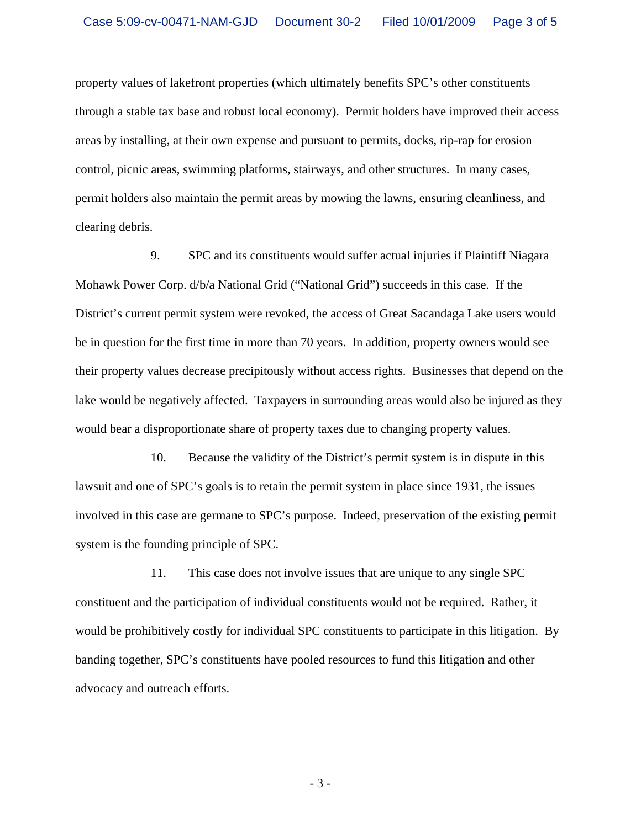property values of lakefront properties (which ultimately benefits SPC's other constituents through a stable tax base and robust local economy). Permit holders have improved their access areas by installing, at their own expense and pursuant to permits, docks, rip-rap for erosion control, picnic areas, swimming platforms, stairways, and other structures. In many cases, permit holders also maintain the permit areas by mowing the lawns, ensuring cleanliness, and clearing debris.

9. SPC and its constituents would suffer actual injuries if Plaintiff Niagara Mohawk Power Corp. d/b/a National Grid ("National Grid") succeeds in this case. If the District's current permit system were revoked, the access of Great Sacandaga Lake users would be in question for the first time in more than 70 years. In addition, property owners would see their property values decrease precipitously without access rights. Businesses that depend on the lake would be negatively affected. Taxpayers in surrounding areas would also be injured as they would bear a disproportionate share of property taxes due to changing property values.

10. Because the validity of the District's permit system is in dispute in this lawsuit and one of SPC's goals is to retain the permit system in place since 1931, the issues involved in this case are germane to SPC's purpose. Indeed, preservation of the existing permit system is the founding principle of SPC.

11. This case does not involve issues that are unique to any single SPC constituent and the participation of individual constituents would not be required. Rather, it would be prohibitively costly for individual SPC constituents to participate in this litigation. By banding together, SPC's constituents have pooled resources to fund this litigation and other advocacy and outreach efforts.

 $-3-$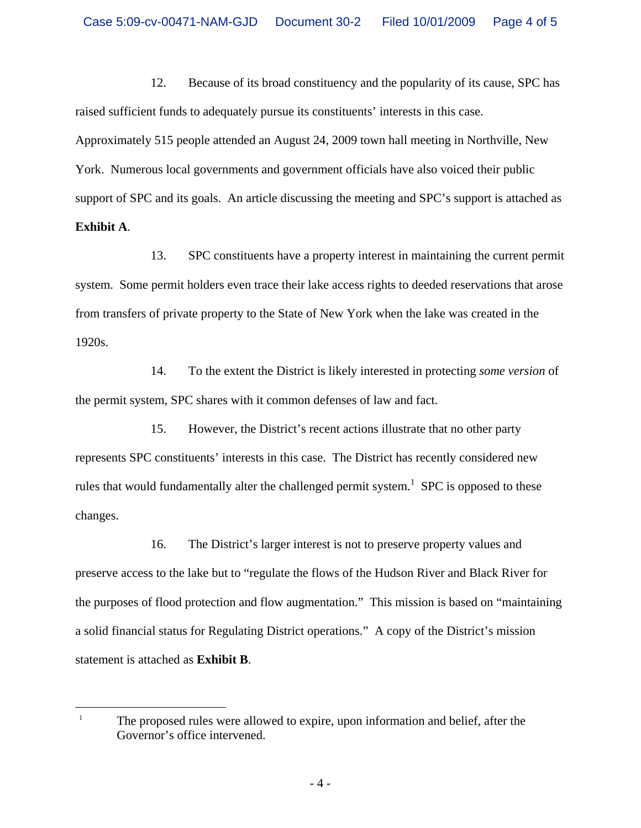12. Because of its broad constituency and the popularity of its cause, SPC has raised sufficient funds to adequately pursue its constituents' interests in this case. Approximately 515 people attended an August 24, 2009 town hall meeting in Northville, New York. Numerous local governments and government officials have also voiced their public support of SPC and its goals. An article discussing the meeting and SPC's support is attached as **Exhibit A**.

13. SPC constituents have a property interest in maintaining the current permit system. Some permit holders even trace their lake access rights to deeded reservations that arose from transfers of private property to the State of New York when the lake was created in the 1920s.

14. To the extent the District is likely interested in protecting *some version* of the permit system, SPC shares with it common defenses of law and fact.

15. However, the District's recent actions illustrate that no other party represents SPC constituents' interests in this case. The District has recently considered new rules that would fundamentally alter the challenged permit system.<sup>1</sup> SPC is opposed to these changes.

16. The District's larger interest is not to preserve property values and preserve access to the lake but to "regulate the flows of the Hudson River and Black River for the purposes of flood protection and flow augmentation." This mission is based on "maintaining a solid financial status for Regulating District operations." A copy of the District's mission statement is attached as **Exhibit B**.

 $\overline{a}$ 

<sup>1</sup> The proposed rules were allowed to expire, upon information and belief, after the Governor's office intervened.